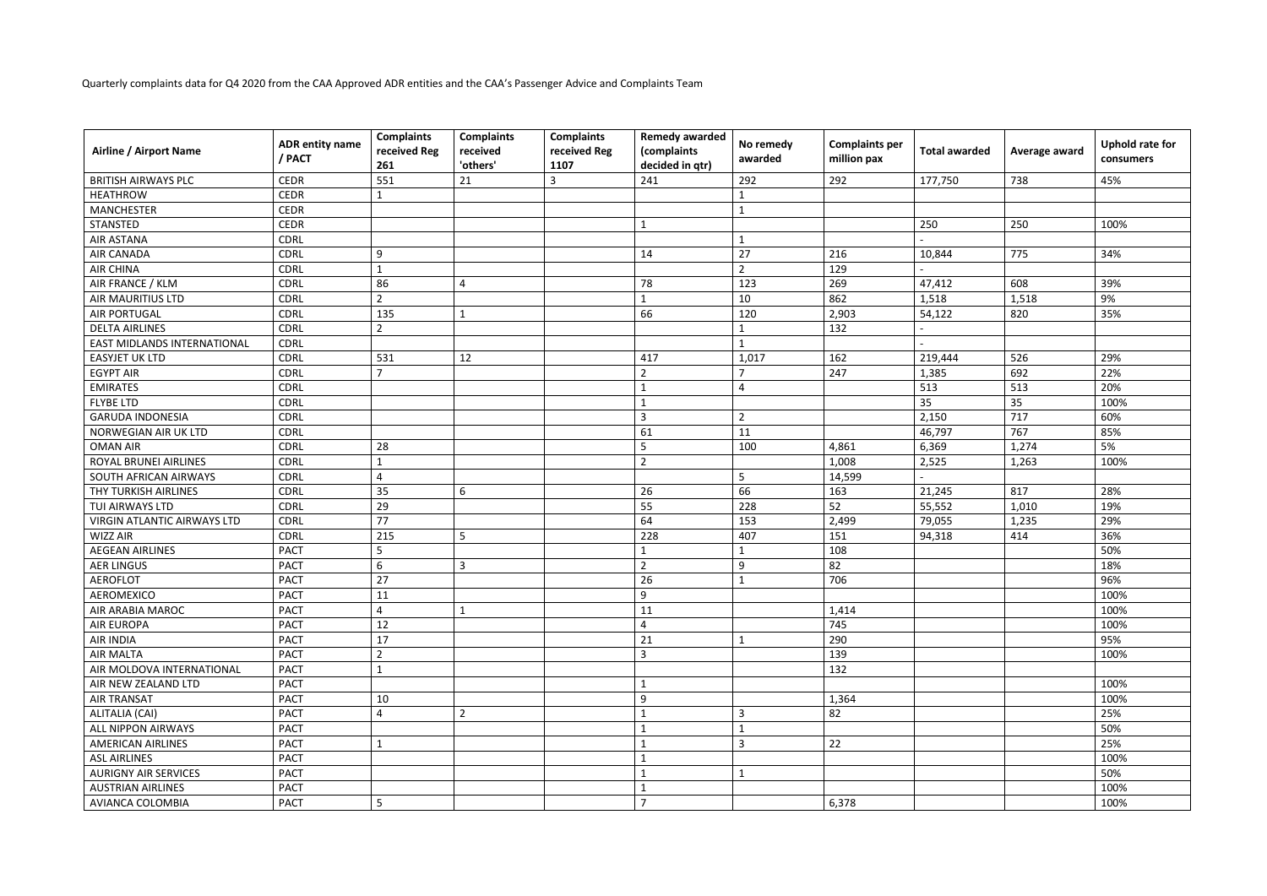Quarterly complaints data for Q4 2020 from the CAA Approved ADR entities and the CAA's Passenger Advice and Complaints Team

| <b>Airline / Airport Name</b>      | ADR entity name<br>/ PACT | <b>Complaints</b><br>received Reg<br>261 | <b>Complaints</b><br>received<br>'others' | <b>Complaints</b><br>received Reg<br>1107 | <b>Remedy awarded</b><br>(complaints<br>decided in qtr) | No remedy<br>awarded     | <b>Complaints per</b><br>million pax | <b>Total awarded</b> | Average award | <b>Uphold rate for</b><br>consumers |
|------------------------------------|---------------------------|------------------------------------------|-------------------------------------------|-------------------------------------------|---------------------------------------------------------|--------------------------|--------------------------------------|----------------------|---------------|-------------------------------------|
| <b>BRITISH AIRWAYS PLC</b>         | <b>CEDR</b>               | 551                                      | 21                                        | 3                                         | 241                                                     | 292                      | 292                                  | 177,750              | 738           | 45%                                 |
| <b>HEATHROW</b>                    | <b>CEDR</b>               |                                          |                                           |                                           |                                                         |                          |                                      |                      |               |                                     |
| <b>MANCHESTER</b>                  | <b>CEDR</b>               |                                          |                                           |                                           |                                                         |                          |                                      |                      |               |                                     |
| STANSTED                           | <b>CEDR</b>               |                                          |                                           |                                           |                                                         |                          |                                      | 250                  | 250           | 100%                                |
| <b>AIR ASTANA</b>                  | <b>CDRL</b>               |                                          |                                           |                                           |                                                         |                          |                                      |                      |               |                                     |
| <b>AIR CANADA</b>                  | <b>CDRL</b>               | 9                                        |                                           |                                           | 14                                                      | 27                       | 216                                  | 10,844               | 775           | 34%                                 |
| <b>AIR CHINA</b>                   | <b>CDRL</b>               | $\mathbf{1}$                             |                                           |                                           |                                                         | $\overline{2}$           | 129                                  |                      |               |                                     |
| AIR FRANCE / KLM                   | <b>CDRL</b>               | 86                                       | $\overline{4}$                            |                                           | 78                                                      | 123                      | 269                                  | 47,412               | 608           | 39%                                 |
| <b>AIR MAURITIUS LTD</b>           | <b>CDRL</b>               | $\overline{2}$                           |                                           |                                           |                                                         | 10                       | 862                                  | 1,518                | 1,518         | 9%                                  |
| <b>AIR PORTUGAL</b>                | <b>CDRL</b>               | 135                                      |                                           |                                           | 66                                                      | 120                      | 2,903                                | 54,122               | 820           | 35%                                 |
| <b>DELTA AIRLINES</b>              | <b>CDRL</b>               | $\overline{2}$                           |                                           |                                           |                                                         |                          | 132                                  |                      |               |                                     |
| <b>EAST MIDLANDS INTERNATIONAL</b> | <b>CDRL</b>               |                                          |                                           |                                           |                                                         |                          |                                      |                      |               |                                     |
| <b>EASYJET UK LTD</b>              | <b>CDRL</b>               | 531                                      | 12                                        |                                           | 417                                                     | 1,017                    | 162                                  | 219,444              | 526           | 29%                                 |
| <b>EGYPT AIR</b>                   | <b>CDRL</b>               | $\overline{7}$                           |                                           |                                           |                                                         | $\overline{\phantom{a}}$ | 247                                  | 1,385                | 692           | 22%                                 |
| <b>EMIRATES</b>                    | <b>CDRL</b>               |                                          |                                           |                                           |                                                         | 4                        |                                      | 513                  | 513           | 20%                                 |
| <b>FLYBE LTD</b>                   | <b>CDRL</b>               |                                          |                                           |                                           |                                                         |                          |                                      | 35                   | 35            | 100%                                |
| <b>GARUDA INDONESIA</b>            | <b>CDRL</b>               |                                          |                                           |                                           | $\overline{3}$                                          | $\overline{2}$           |                                      | 2,150                | 717           | 60%                                 |
| NORWEGIAN AIR UK LTD               | <b>CDRL</b>               |                                          |                                           |                                           | 61                                                      | 11                       |                                      | 46,797               | 767           | 85%                                 |
| <b>OMAN AIR</b>                    | <b>CDRL</b>               | 28                                       |                                           |                                           | 5                                                       | 100                      | 4,861                                | 6,369                | 1,274         | 5%                                  |
| ROYAL BRUNEI AIRLINES              | <b>CDRL</b>               |                                          |                                           |                                           | $\overline{2}$                                          |                          | 1,008                                | 2,525                | 1,263         | 100%                                |
| SOUTH AFRICAN AIRWAYS              | <b>CDRL</b>               | 4                                        |                                           |                                           |                                                         | 5                        | 14,599                               |                      |               |                                     |
| THY TURKISH AIRLINES               | <b>CDRL</b>               | 35                                       | 6                                         |                                           | 26                                                      | 66                       | 163                                  | 21,245               | 817           | 28%                                 |
| TUI AIRWAYS LTD                    | <b>CDRL</b>               | 29                                       |                                           |                                           | 55                                                      | 228                      | 52                                   | 55,552               | 1,010         | 19%                                 |
| VIRGIN ATLANTIC AIRWAYS LTD        | <b>CDRL</b>               | 77                                       |                                           |                                           | 64                                                      | 153                      | 2,499                                | 79,055               | 1,235         | 29%                                 |
| <b>WIZZ AIR</b>                    | <b>CDRL</b>               | 215                                      | 5                                         |                                           | 228                                                     | 407                      | 151                                  | 94,318               | 414           | 36%                                 |
| <b>AEGEAN AIRLINES</b>             | <b>PACT</b>               | 5                                        |                                           |                                           |                                                         |                          | 108                                  |                      |               | 50%                                 |
| <b>AER LINGUS</b>                  | <b>PACT</b>               | 6                                        | 3                                         |                                           | $\overline{2}$                                          | 9                        | 82                                   |                      |               | 18%                                 |
| <b>AEROFLOT</b>                    | <b>PACT</b>               | 27                                       |                                           |                                           | 26                                                      |                          | 706                                  |                      |               | 96%                                 |
| <b>AEROMEXICO</b>                  | <b>PACT</b>               | 11                                       |                                           |                                           | 9                                                       |                          |                                      |                      |               | 100%                                |
| AIR ARABIA MAROC                   | <b>PACT</b>               | 4                                        | $\mathbf{1}$                              |                                           | 11                                                      |                          | 1,414                                |                      |               | 100%                                |
| <b>AIR EUROPA</b>                  | <b>PACT</b>               | 12                                       |                                           |                                           |                                                         |                          | 745                                  |                      |               | 100%                                |
| AIR INDIA                          | <b>PACT</b>               | 17                                       |                                           |                                           | 21                                                      |                          | 290                                  |                      |               | 95%                                 |
| <b>AIR MALTA</b>                   | <b>PACT</b>               | $\overline{2}$                           |                                           |                                           | 3                                                       |                          | 139                                  |                      |               | 100%                                |
| AIR MOLDOVA INTERNATIONAL          | <b>PACT</b>               |                                          |                                           |                                           |                                                         |                          | 132                                  |                      |               |                                     |
| AIR NEW ZEALAND LTD                | <b>PACT</b>               |                                          |                                           |                                           |                                                         |                          |                                      |                      |               | 100%                                |
| <b>AIR TRANSAT</b>                 | <b>PACT</b>               | 10                                       |                                           |                                           | 9                                                       |                          | 1,364                                |                      |               | 100%                                |
| ALITALIA (CAI)                     | <b>PACT</b>               | 4                                        | $\overline{2}$                            |                                           |                                                         | 3                        | 82                                   |                      |               | 25%                                 |
| ALL NIPPON AIRWAYS                 | <b>PACT</b>               |                                          |                                           |                                           |                                                         |                          |                                      |                      |               | 50%                                 |
| <b>AMERICAN AIRLINES</b>           | <b>PACT</b>               |                                          |                                           |                                           |                                                         | 3                        | 22                                   |                      |               | 25%                                 |
| <b>ASL AIRLINES</b>                | <b>PACT</b>               |                                          |                                           |                                           |                                                         |                          |                                      |                      |               | 100%                                |
| <b>AURIGNY AIR SERVICES</b>        | <b>PACT</b>               |                                          |                                           |                                           |                                                         |                          |                                      |                      |               | 50%                                 |
| <b>AUSTRIAN AIRLINES</b>           | <b>PACT</b>               |                                          |                                           |                                           |                                                         |                          |                                      |                      |               | 100%                                |
| AVIANCA COLOMBIA                   | <b>PACT</b>               | 5                                        |                                           |                                           | $\overline{7}$                                          |                          | 6,378                                |                      |               | 100%                                |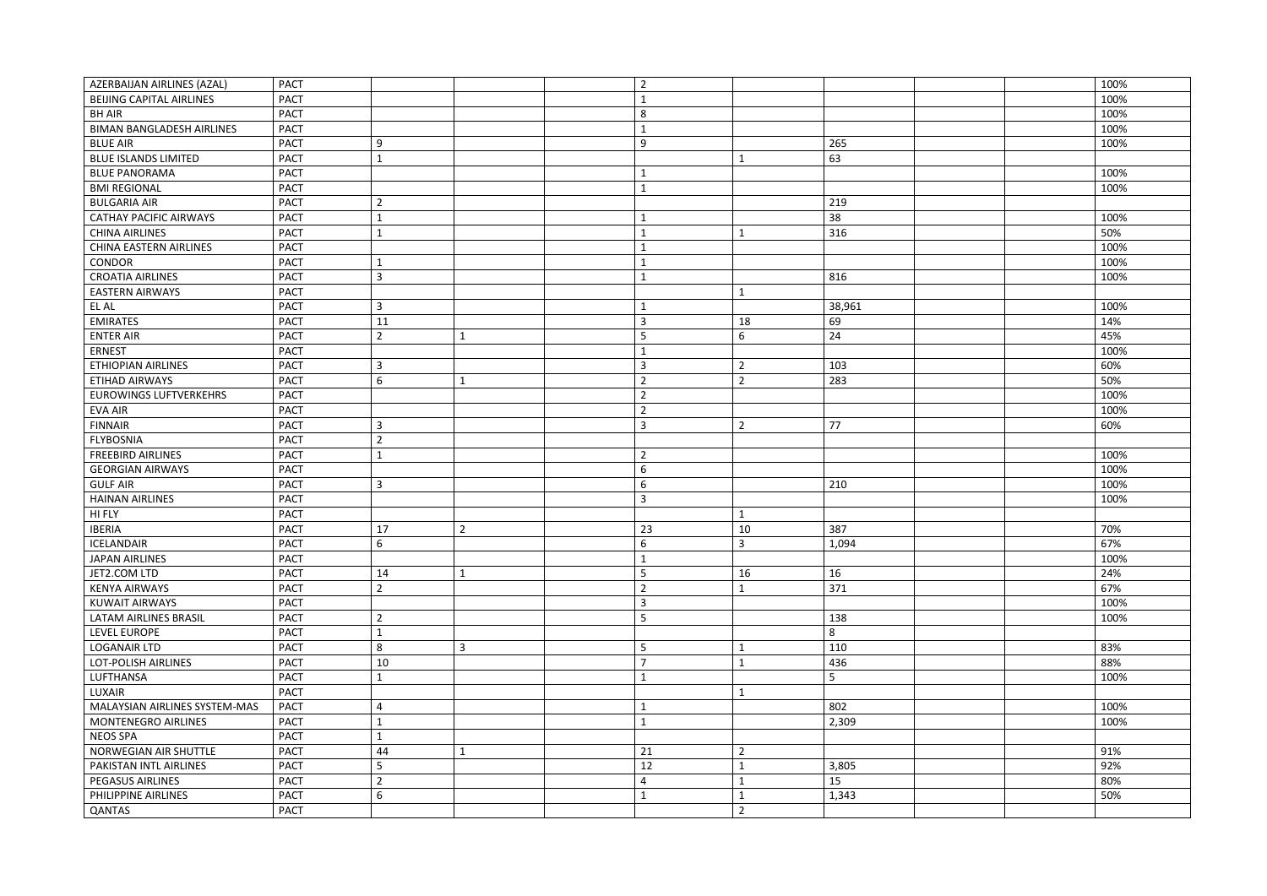| <b>AZERBAIJAN AIRLINES (AZAL)</b> | <b>PACT</b>                   |                | $\overline{2}$ |                |        | 100% |
|-----------------------------------|-------------------------------|----------------|----------------|----------------|--------|------|
| <b>BEIJING CAPITAL AIRLINES</b>   | <b>PACT</b>                   |                |                |                |        | 100% |
| <b>BH AIR</b>                     | <b>PACT</b>                   |                | 8              |                |        | 100% |
| <b>BIMAN BANGLADESH AIRLINES</b>  | <b>PACT</b>                   |                |                |                |        | 100% |
| <b>BLUE AIR</b>                   | <b>PACT</b><br>9              |                | 9              |                | 265    | 100% |
| <b>BLUE ISLANDS LIMITED</b>       | <b>PACT</b><br>1              |                |                |                | 63     |      |
| <b>BLUE PANORAMA</b>              | <b>PACT</b>                   |                |                |                |        | 100% |
| <b>BMI REGIONAL</b>               | <b>PACT</b>                   |                |                |                |        | 100% |
| <b>BULGARIA AIR</b>               | <b>PACT</b><br>$\overline{2}$ |                |                |                | 219    |      |
| <b>CATHAY PACIFIC AIRWAYS</b>     | <b>PACT</b><br>1              |                |                |                | 38     | 100% |
| <b>CHINA AIRLINES</b>             | <b>PACT</b><br>$\mathbf{1}$   |                |                |                | 316    | 50%  |
| CHINA EASTERN AIRLINES            | <b>PACT</b>                   |                |                |                |        | 100% |
| CONDOR                            | <b>PACT</b><br>1              |                |                |                |        | 100% |
| <b>CROATIA AIRLINES</b>           | <b>PACT</b><br>3              |                |                |                | 816    | 100% |
| <b>EASTERN AIRWAYS</b>            | <b>PACT</b>                   |                |                | 1              |        |      |
| EL AL                             | <b>PACT</b><br>3              |                |                |                | 38,961 | 100% |
| <b>EMIRATES</b>                   | <b>PACT</b><br>11             |                | 3              | 18             | 69     | 14%  |
| <b>ENTER AIR</b>                  | <b>PACT</b><br>$\overline{2}$ |                | 5              | 6              | 24     | 45%  |
| <b>ERNEST</b>                     | <b>PACT</b>                   |                |                |                |        | 100% |
| <b>ETHIOPIAN AIRLINES</b>         | <b>PACT</b><br>3              |                | 3              | $\overline{2}$ | 103    | 60%  |
| ETIHAD AIRWAYS                    | <b>PACT</b><br>6              |                | $\overline{2}$ | $\overline{2}$ | 283    | 50%  |
| <b>EUROWINGS LUFTVERKEHRS</b>     | <b>PACT</b>                   |                | $\overline{2}$ |                |        | 100% |
| <b>EVA AIR</b>                    | <b>PACT</b>                   |                | $\overline{2}$ |                |        | 100% |
| <b>FINNAIR</b>                    | <b>PACT</b><br>3              |                | 3              | $\overline{2}$ | 77     | 60%  |
| <b>FLYBOSNIA</b>                  | <b>PACT</b><br>$\overline{2}$ |                |                |                |        |      |
| <b>FREEBIRD AIRLINES</b>          | <b>PACT</b><br>1              |                | $\overline{2}$ |                |        | 100% |
| <b>GEORGIAN AIRWAYS</b>           | <b>PACT</b>                   |                | 6              |                |        | 100% |
| <b>GULF AIR</b>                   | <b>PACT</b><br>3              |                | 6              |                | 210    | 100% |
| <b>HAINAN AIRLINES</b>            | <b>PACT</b>                   |                | $\overline{3}$ |                |        | 100% |
| HI FLY                            | <b>PACT</b>                   |                |                |                |        |      |
| <b>IBERIA</b>                     | <b>PACT</b><br>17             | 2              | 23             | 10             | 387    | 70%  |
| <b>ICELANDAIR</b>                 | 6<br><b>PACT</b>              |                | 6              | $\overline{3}$ | 1,094  | 67%  |
| JAPAN AIRLINES                    | <b>PACT</b>                   |                |                |                |        | 100% |
| JET2.COM LTD                      | <b>PACT</b><br>14             | $\mathbf 1$    | 5              | 16             | 16     | 24%  |
| <b>KENYA AIRWAYS</b>              | <b>PACT</b><br>$\overline{2}$ |                | $\overline{2}$ |                | 371    | 67%  |
| <b>KUWAIT AIRWAYS</b>             | <b>PACT</b>                   |                | 3              |                |        | 100% |
| LATAM AIRLINES BRASIL             | <b>PACT</b><br>$\overline{2}$ |                | 5              |                | 138    | 100% |
| <b>LEVEL EUROPE</b>               | <b>PACT</b><br>$\mathbf{1}$   |                |                |                | 8      |      |
| <b>LOGANAIR LTD</b>               | <b>PACT</b><br>8              | $\overline{3}$ | 5              |                | 110    | 83%  |
| LOT-POLISH AIRLINES               | 10<br><b>PACT</b>             |                |                |                | 436    | 88%  |
| LUFTHANSA                         | <b>PACT</b><br>1              |                |                |                | 5      | 100% |
| LUXAIR                            | <b>PACT</b>                   |                |                | 1              |        |      |
| MALAYSIAN AIRLINES SYSTEM-MAS     | <b>PACT</b><br>4              |                |                |                | 802    | 100% |
| MONTENEGRO AIRLINES               | <b>PACT</b><br>$\mathbf{1}$   |                |                |                | 2,309  | 100% |
| <b>NEOS SPA</b>                   | <b>PACT</b><br>$\mathbf{1}$   |                |                |                |        |      |
| NORWEGIAN AIR SHUTTLE             | <b>PACT</b><br>44             | $\mathbf{1}$   | 21             | $\overline{2}$ |        | 91%  |
| PAKISTAN INTL AIRLINES            | <b>PACT</b><br>5              |                | 12             |                | 3,805  | 92%  |
| <b>PEGASUS AIRLINES</b>           | <b>PACT</b><br>$\overline{2}$ |                | 4              |                | 15     | 80%  |
| PHILIPPINE AIRLINES               | <b>PACT</b><br>6              |                |                |                | 1,343  | 50%  |
| QANTAS                            | <b>PACT</b>                   |                |                | $\overline{2}$ |        |      |